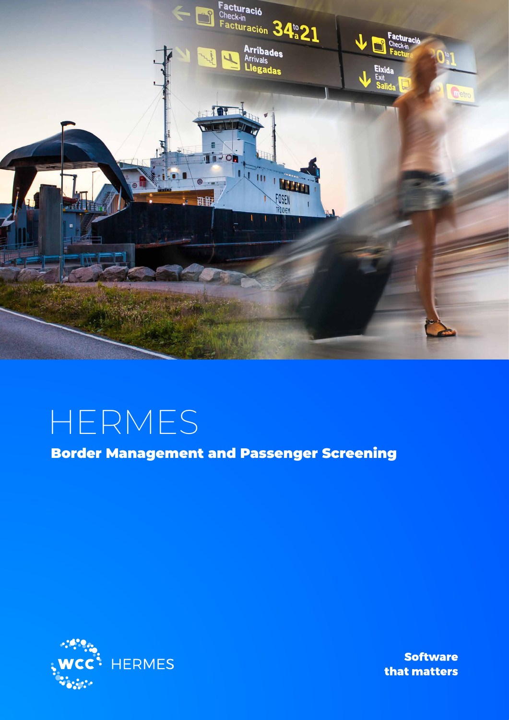

# HERMES

Border Management and Passenger Screening



**Software** that matters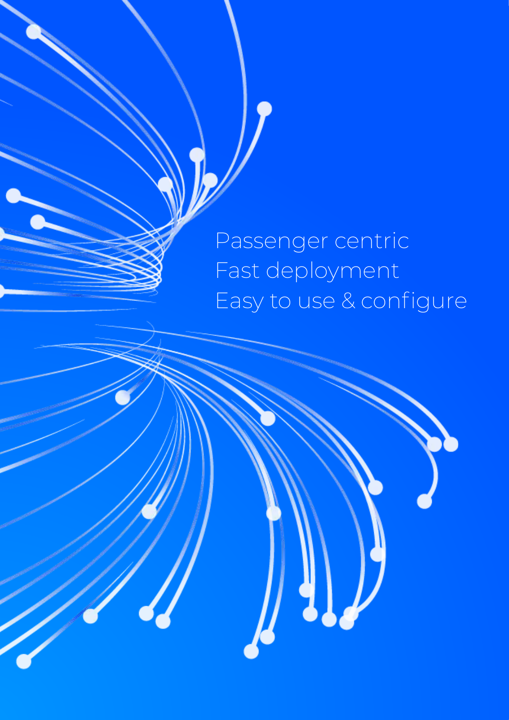Passenger centric Fast deployment Easy to use & configure

 $\int_{0}^{1}$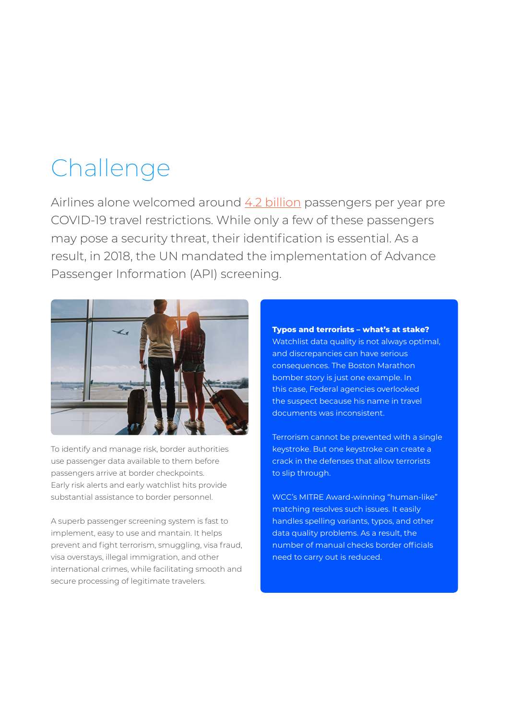## Challenge

Airlines alone welcomed around [4.2 billion](https://data.worldbank.org/indicator/IS.AIR.PSGR) passengers per year pre COVID-19 travel restrictions. While only a few of these passengers may pose a security threat, their identification is essential. As a result, in 2018, the UN mandated the implementation of Advance Passenger Information (API) screening.



To identify and manage risk, border authorities use passenger data available to them before passengers arrive at border checkpoints. Early risk alerts and early watchlist hits provide substantial assistance to border personnel.

A superb passenger screening system is fast to implement, easy to use and mantain. It helps prevent and fight terrorism, smuggling, visa fraud, visa overstays, illegal immigration, and other international crimes, while facilitating smooth and secure processing of legitimate travelers.

**Typos and terrorists – what's at stake?** Watchlist data quality is not always optimal, and discrepancies can have serious consequences. The Boston Marathon bomber story is just one example. In this case, Federal agencies overlooked the suspect because his name in travel documents was inconsistent.

Terrorism cannot be prevented with a single keystroke. But one keystroke can create a crack in the defenses that allow terrorists to slip through.

WCC's MITRE Award-winning "human-like" matching resolves such issues. It easily handles spelling variants, typos, and other data quality problems. As a result, the number of manual checks border officials need to carry out is reduced.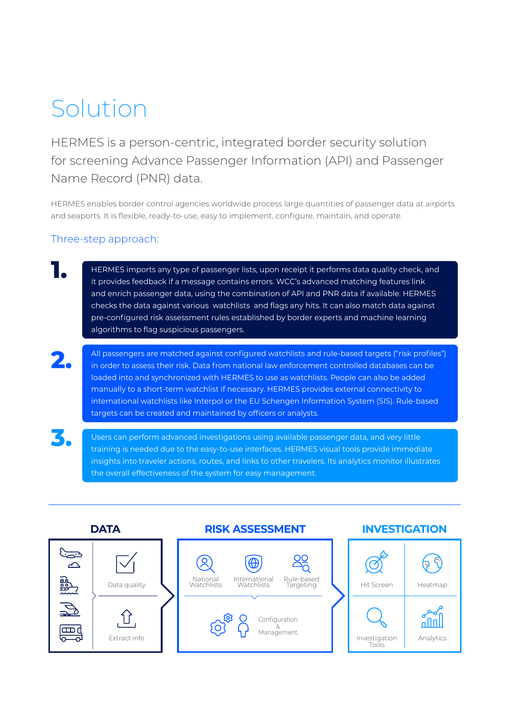## Solution

HERMES is a person-centric, integrated border security solution for screening Advance Passenger Information (API) and Passenger Name Record (PNR) data.

HERMES enables border control agencies worldwide process large quantities of passenger data at airports and seaports. It is flexible, ready-to-use, easy to implement, configure, maintain, and operate.

## Three-step approach:

**3.**

HERMES imports any type of passenger lists, upon receipt it performs data quality check, and it provides feedback if a message contains errors. WCC's advanced matching features link and enrich passenger data, using the combination of API and PNR data if available. HERMES checks the data against various watchlists and flags any hits. It can also match data against pre-configured risk assessment rules established by border experts and machine learning algorithms to flag suspicious passengers. **1.**

All passengers are matched against configured watchlists and rule-based targets ("risk profiles") in order to assess their risk. Data from national law enforcement controlled databases can be loaded into and synchronized with HERMES to use as watchlists. People can also be added manually to a short-term watchlist if necessary. HERMES provides external connectivity to international watchlists like Interpol or the EU Schengen Information System (SIS). Rule-based targets can be created and maintained by officers or analysts. **2.**

Users can perform advanced investigations using available passenger data, and very little training is needed due to the easy-to-use interfaces. HERMES visual tools provide immediate insights into traveler actions, routes, and links to other travelers. Its analytics monitor illustrates the overall effectiveness of the system for easy management.

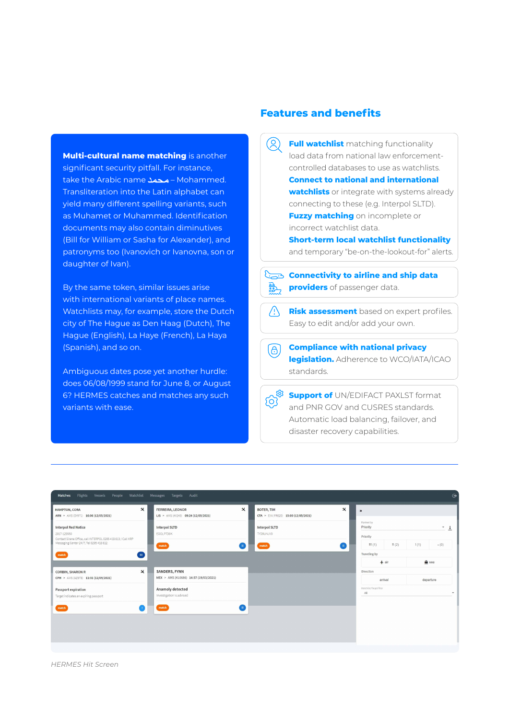**Multi-cultural name matching** is another significant security pitfall. For instance, take the Arabic name – Mohammed. Transliteration into the Latin alphabet can yield many different spelling variants, such as Muhamet or Muhammed. Identification documents may also contain diminutives (Bill for William or Sasha for Alexander), and patronyms too (Ivanovich or Ivanovna, son or daughter of Ivan).

By the same token, similar issues arise with international variants of place names. Watchlists may, for example, store the Dutch city of The Hague as Den Haag (Dutch), The Hague (English), La Haye (French), La Haya (Spanish), and so on.

Ambiguous dates pose yet another hurdle: does 06/08/1999 stand for June 8, or August 6? HERMES catches and matches any such variants with ease.

### **Features and benefits**

 $\circledR$ **Full watchlist** matching functionality load data from national law enforcementcontrolled databases to use as watchlists. **Connect to national and international watchlists** or integrate with systems already connecting to these (e.g. Interpol SLTD). **Fuzzy matching** on incomplete or incorrect watchlist data. **Short-term local watchlist functionality** and temporary "be-on-the-lookout-for" alerts. **Connectivity to airline and ship data providers** of passenger data.

**Risk assessment** based on expert profiles. Easy to edit and/or add your own.

**Compliance with national privacy** (ප) **legislation.** Adherence to WCO/IATA/ICAO standards.

**Support of** UN/EDIFACT PAXLST format and PNR GOV and CUSRES standards. Automatic load balancing, failover, and disaster recovery capabilities.

| $\boldsymbol{\mathsf{x}}$<br>HAMPTON, CORA                                  | FERREIRA, LEONOR                      | $\boldsymbol{\mathsf{x}}$ | BOTER, TIM                           | $\boldsymbol{\mathsf{x}}$ | $\boldsymbol{\mathcal{W}}$ |                   |           |              |
|-----------------------------------------------------------------------------|---------------------------------------|---------------------------|--------------------------------------|---------------------------|----------------------------|-------------------|-----------|--------------|
| ARN > AMS (DY971) 16:06 (12/05/2021)                                        | LIS > AMS (AY243) 09:24 (12/05/2021)  |                           | CTA > EIN (FR620) 15:00 (12/05/2021) |                           | Ranked by                  |                   |           |              |
| <b>Interpol Red Notice</b>                                                  | <b>Interpol SLTD</b>                  |                           | Interpol SLTD                        |                           | Priority                   |                   |           | $\checkmark$ |
| 2017-129550<br>Contact Sirene Office, call INTERPOL 0295 418 613 / Call KRP | EOOLP7D9K                             |                           | TYD9UNJV0                            |                           | Priority                   |                   |           |              |
| Messaging Center 24/7, Tel 0295 418 612                                     | match                                 | <b>IL</b>                 | match                                | <b>C</b> 11               | III(1)                     | $\mathop{  }$ (2) | 1(1)      | $- (0)$      |
| match<br>$\vert \vert \vert \vert \vert \vert \vert$                        |                                       |                           |                                      |                           | Traveling by               |                   |           |              |
|                                                                             |                                       |                           |                                      |                           | $+$ air                    |                   | a sea     |              |
| $\boldsymbol{\times}$<br><b>CORBIN, SHARON R</b>                            | SANDERS, FYNN                         |                           |                                      |                           | Direction                  |                   |           |              |
| CPH > AMS (AZ978) 11:31 (12/05/2021)                                        | MEX > AMS (KL0686) 14:57 (19/03/2021) |                           |                                      |                           | arrival                    |                   | departure |              |
| Passport expiration                                                         | Anamoly detected                      |                           |                                      |                           | Watchlist/Target filter    |                   |           |              |
| Target indicates an explring passport                                       | Investigation is advised              |                           |                                      |                           | All                        |                   |           |              |
| match<br>œ                                                                  | match                                 | (m                        |                                      |                           |                            |                   |           |              |
|                                                                             |                                       |                           |                                      |                           |                            |                   |           |              |
|                                                                             |                                       |                           |                                      |                           |                            |                   |           |              |
|                                                                             |                                       |                           |                                      |                           |                            |                   |           |              |
|                                                                             |                                       |                           |                                      |                           |                            |                   |           |              |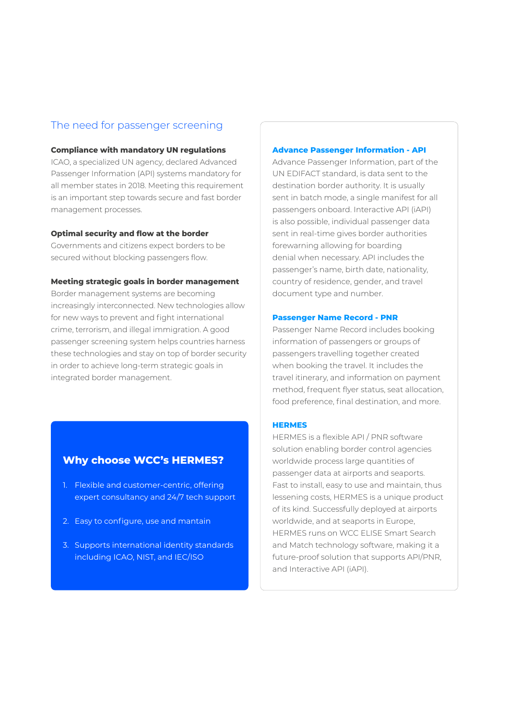### The need for passenger screening

#### **Compliance with mandatory UN regulations**

ICAO, a specialized UN agency, declared Advanced Passenger Information (API) systems mandatory for all member states in 2018. Meeting this requirement is an important step towards secure and fast border management processes.

#### **Optimal security and flow at the border**

Governments and citizens expect borders to be secured without blocking passengers flow.

#### **Meeting strategic goals in border management**

Border management systems are becoming increasingly interconnected. New technologies allow for new ways to prevent and fight international crime, terrorism, and illegal immigration. A good passenger screening system helps countries harness these technologies and stay on top of border security in order to achieve long-term strategic goals in integrated border management.

### **Why choose WCC's HERMES?**

- 1. Flexible and customer-centric, offering expert consultancy and 24/7 tech support
- 2. Easy to configure, use and mantain
- 3. Supports international identity standards including ICAO, NIST, and IEC/ISO

#### **Advance Passenger Information - API**

Advance Passenger Information, part of the UN EDIFACT standard, is data sent to the destination border authority. It is usually sent in batch mode, a single manifest for all passengers onboard. Interactive API (iAPI) is also possible, individual passenger data sent in real-time gives border authorities forewarning allowing for boarding denial when necessary. API includes the passenger's name, birth date, nationality, country of residence, gender, and travel document type and number.

#### **Passenger Name Record - PNR**

Passenger Name Record includes booking information of passengers or groups of passengers travelling together created when booking the travel. It includes the travel itinerary, and information on payment method, frequent flyer status, seat allocation, food preference, final destination, and more.

#### **HERMES**

HERMES is a flexible API / PNR software solution enabling border control agencies worldwide process large quantities of passenger data at airports and seaports. Fast to install, easy to use and maintain, thus lessening costs, HERMES is a unique product of its kind. Successfully deployed at airports worldwide, and at seaports in Europe, HERMES runs on WCC ELISE Smart Search and Match technology software, making it a future-proof solution that supports API/PNR, and Interactive API (iAPI).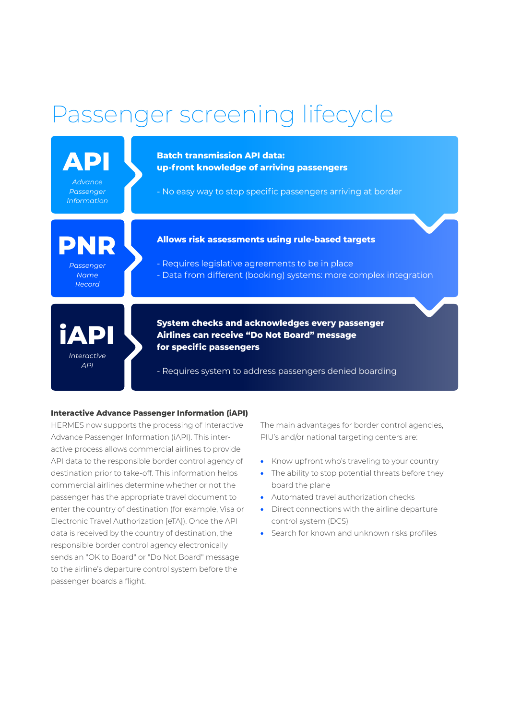## Passenger screening lifecycle



#### **Interactive Advance Passenger Information (iAPI)**

HERMES now supports the processing of Interactive Advance Passenger Information (iAPI). This interactive process allows commercial airlines to provide API data to the responsible border control agency of destination prior to take-off. This information helps commercial airlines determine whether or not the passenger has the appropriate travel document to enter the country of destination (for example, Visa or Electronic Travel Authorization [eTA]). Once the API data is received by the country of destination, the responsible border control agency electronically sends an "OK to Board" or "Do Not Board" message to the airline's departure control system before the passenger boards a flight.

The main advantages for border control agencies, PIU's and/or national targeting centers are:

- Know upfront who's traveling to your country
- The ability to stop potential threats before they board the plane
- Automated travel authorization checks
- Direct connections with the airline departure control system (DCS)
- Search for known and unknown risks profiles